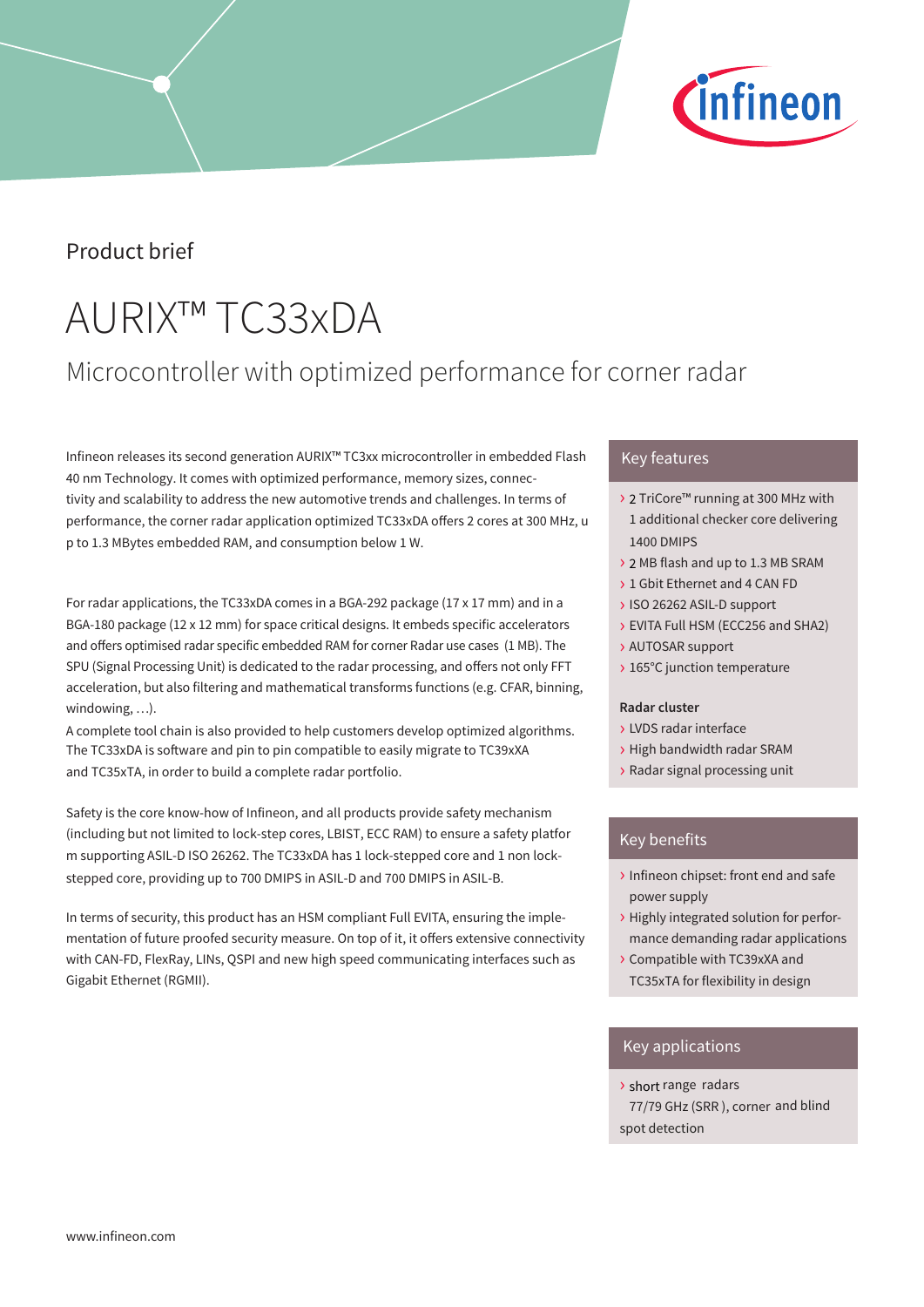

## Product brief

# AURIX™ TC33xDA

# Microcontroller with optimized performance for corner radar

Infineon releases its second generation AURIX™ TC3xx microcontroller in embedded Flash 40 nm Technology. It comes with optimized performance, memory sizes, connectivity and scalability to address the new automotive trends and challenges. In terms of performance, the corner radar application optimized TC33xDA offers 2 cores at 300 MHz, u p to 1.3 MBytes embedded RAM, and consumption below 1 W.

For radar applications, the TC33xDA comes in a BGA-292 package (17 x 17 mm) and in a BGA-180 package (12 x 12 mm) for space critical designs. It embeds specific accelerators and offers optimised radar specific embedded RAM for corner Radar use cases (1 MB). The SPU (Signal Processing Unit) is dedicated to the radar processing, and offers not only FFT acceleration, but also filtering and mathematical transforms functions (e.g. CFAR, binning, windowing, …).

A complete tool chain is also provided to help customers develop optimized algorithms. The TC33xDA is software and pin to pin compatible to easily migrate to TC39xXA and TC35xTA, in order to build a complete radar portfolio.

Safety is the core know-how of Infineon, and all products provide safety mechanism (including but not limited to lock-step cores, LBIST, ECC RAM) to ensure a safety platfor m supporting ASIL-D ISO 26262. The TC33xDA has 1 lock-stepped core and 1 non lockstepped core, providing up to 700 DMIPS in ASIL-D and 700 DMIPS in ASIL-B.

In terms of security, this product has an HSM compliant Full EVITA, ensuring the implementation of future proofed security measure. On top of it, it offers extensive connectivity with CAN-FD, FlexRay, LINs, QSPI and new high speed communicating interfaces such as Gigabit Ethernet (RGMII).

## › Key features

- > 2 TriCore™ running at 300 MHz with 1 additional checker core delivering **1400 DMIPS**
- > 2 MB flash and up to 1.3 MB SRAM
- > 1 Gbit Ethernet and 4 CAN FD
- > ISO 26262 ASIL-D support
- > EVITA Full HSM (ECC256 and SHA2)
- > AUTOSAR support
- > 165°C junction temperature

### **Radar cluster**

- › LVDS radar interface
- › High bandwidth radar SRAM
- › Radar signal processing unit

### Key benefits

- Infineon chipset: front end and safe power supply
- > Highly integrated solution for performance demanding radar applications
- > Compatible with TC39xXA and TC35xTA for flexibility in design

### Key applications

> short range radars 77/79 GHz (SRR), corner and blind spot detection